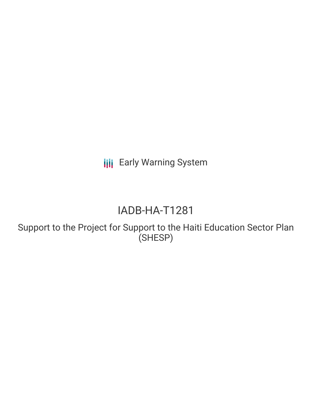**III** Early Warning System

## IADB-HA-T1281

Support to the Project for Support to the Haiti Education Sector Plan (SHESP)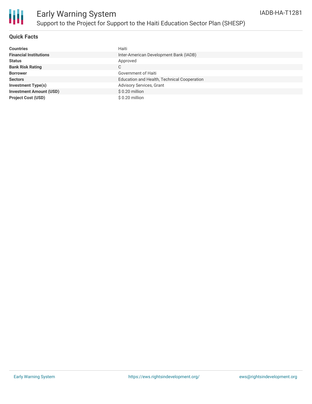

## **Quick Facts**

| <b>Countries</b>               | Haiti                                       |
|--------------------------------|---------------------------------------------|
| <b>Financial Institutions</b>  | Inter-American Development Bank (IADB)      |
| <b>Status</b>                  | Approved                                    |
| <b>Bank Risk Rating</b>        | C                                           |
| <b>Borrower</b>                | Government of Haiti                         |
| <b>Sectors</b>                 | Education and Health, Technical Cooperation |
| <b>Investment Type(s)</b>      | Advisory Services, Grant                    |
| <b>Investment Amount (USD)</b> | $$0.20$ million                             |
| <b>Project Cost (USD)</b>      | $$0.20$ million                             |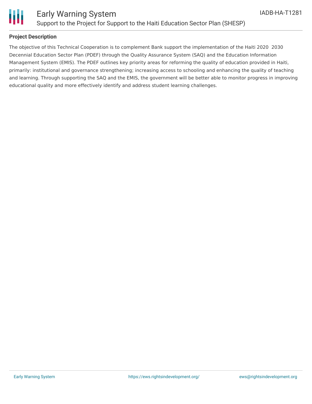

# Ш

## **Project Description**

The objective of this Technical Cooperation is to complement Bank support the implementation of the Haiti 2020 2030 Decennial Education Sector Plan (PDEF) through the Quality Assurance System (SAQ) and the Education Information Management System (EMIS). The PDEF outlines key priority areas for reforming the quality of education provided in Haiti, primarily: institutional and governance strengthening; increasing access to schooling and enhancing the quality of teaching and learning. Through supporting the SAQ and the EMIS, the government will be better able to monitor progress in improving educational quality and more effectively identify and address student learning challenges.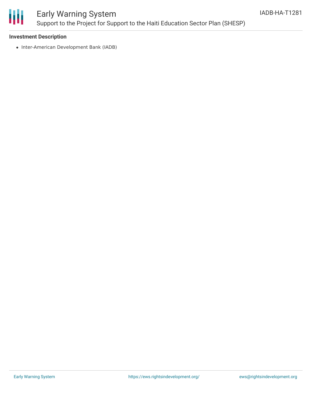

## Early Warning System Support to the Project for Support to the Haiti Education Sector Plan (SHESP)

## **Investment Description**

• Inter-American Development Bank (IADB)